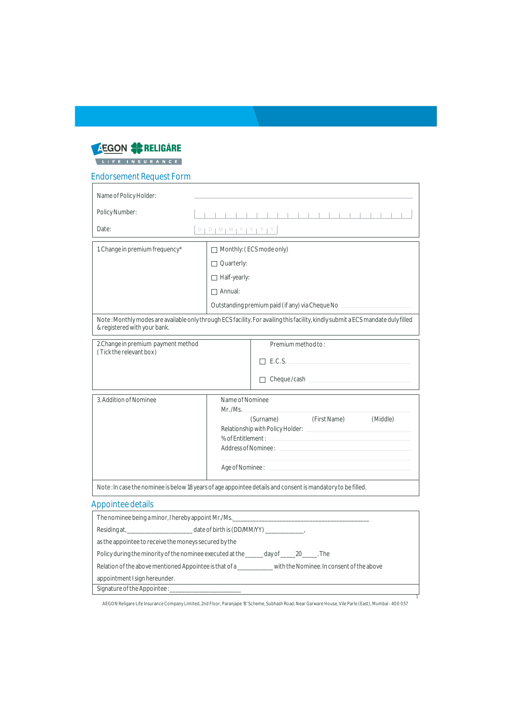

## Endorsement Request Form

| Name of Policy Holder:                                                                                                                                           |                                                                                                                                   |                                                                                                                  |  |
|------------------------------------------------------------------------------------------------------------------------------------------------------------------|-----------------------------------------------------------------------------------------------------------------------------------|------------------------------------------------------------------------------------------------------------------|--|
| Policy Number:                                                                                                                                                   |                                                                                                                                   | <u> 1919 - John Holl, John Holl, John Holl, John Holl</u>                                                        |  |
| Date:                                                                                                                                                            | $D \upharpoonright D \upharpoonright M \upharpoonright M \upharpoonright Y \upharpoonright Y \upharpoonright Y \upharpoonright Y$ |                                                                                                                  |  |
| 1. Change in premium frequency*                                                                                                                                  |                                                                                                                                   | Monthly: (ECS mode only)                                                                                         |  |
|                                                                                                                                                                  | Quarterly:                                                                                                                        |                                                                                                                  |  |
|                                                                                                                                                                  | Half-yearly:                                                                                                                      |                                                                                                                  |  |
|                                                                                                                                                                  | Annual:                                                                                                                           |                                                                                                                  |  |
|                                                                                                                                                                  |                                                                                                                                   | Outstanding premium paid (if any) via Cheque No ________________________________                                 |  |
| Note: Monthly modes are available only through ECS facility. For availing this facility, kindly submit a ECS mandate duly filled<br>& registered with your bank. |                                                                                                                                   |                                                                                                                  |  |
| 2. Change in premium payment method                                                                                                                              |                                                                                                                                   | Premium method to:                                                                                               |  |
| (Tick the relevant box)                                                                                                                                          |                                                                                                                                   | E.C.S.                                                                                                           |  |
|                                                                                                                                                                  |                                                                                                                                   |                                                                                                                  |  |
|                                                                                                                                                                  |                                                                                                                                   |                                                                                                                  |  |
| 3. Addition of Nominee                                                                                                                                           | Name of Nominee                                                                                                                   |                                                                                                                  |  |
|                                                                                                                                                                  |                                                                                                                                   | (Surname) (First Name)<br>(Middle)                                                                               |  |
|                                                                                                                                                                  |                                                                                                                                   |                                                                                                                  |  |
|                                                                                                                                                                  |                                                                                                                                   |                                                                                                                  |  |
|                                                                                                                                                                  |                                                                                                                                   |                                                                                                                  |  |
|                                                                                                                                                                  |                                                                                                                                   |                                                                                                                  |  |
|                                                                                                                                                                  |                                                                                                                                   | Note: In case the nominee is below 18 years of age appointee details and consent is mandatory to be filled.      |  |
| Appointee details                                                                                                                                                |                                                                                                                                   |                                                                                                                  |  |
| The nominee being a minor, I hereby appoint Mr./Ms. [19] [2010] The nomineer being a minor, I hereby appoint Mr./Ms.                                             |                                                                                                                                   |                                                                                                                  |  |
|                                                                                                                                                                  |                                                                                                                                   |                                                                                                                  |  |
| as the appointee to receive the moneys secured by the                                                                                                            |                                                                                                                                   |                                                                                                                  |  |
| Policy during the minority of the nominee executed at the ______ day of _____20_____. The                                                                        |                                                                                                                                   |                                                                                                                  |  |
| Relation of the above mentioned Appointee is that of a __________ with the Nominee. In consent of the above                                                      |                                                                                                                                   |                                                                                                                  |  |
| appointment I sign hereunder.                                                                                                                                    |                                                                                                                                   | and the control of the control of the control of the control of the control of the control of the control of the |  |

AEGON Religare Life Insurance Company Limited, 2nd Floor, Paranjape 'B' Scheme, Subhash Road, Near Garware House, Vile Parle (East), Mumbai - 400 057

1